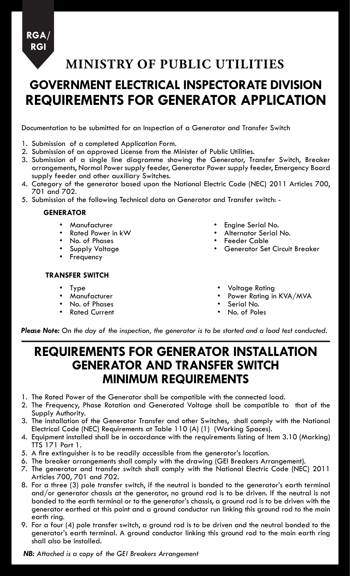**RGA/ RGI**

**MINISTRY OF PUBLIC UTILITIES**

# **GOVERNMENT ELECTRICAL INSPECTORATE DIVISION REQUIREMENTS FOR GENERATOR APPLICATION**

Documentation to be submitted for an Inspection of a Generator and Transfer Switch

- 1. Submission of a completed Application Form.
- 2. Submission of an approved License from the Minister of Public Utilities.
- 3. Submission of a single line diagramme showing the Generator, Transfer Switch, Breaker arrangements, Normal Power supply feeder, Generator Power supply feeder, Emergency Board supply feeder and other auxiliary Switches.
- 4. Category of the generator based upon the National Electric Code (NEC) 2011 Articles 700, 701 and 702.
- 5. Submission of the following Technical data on Generator and Transfer switch: -

#### **GENERATOR**

- **Manufacturer**
- Rated Power in kW
- No. of Phases
- Supply Voltage
- **Frequency**
- **TRANSFER SWITCH**
	- **Type**
	- **Manufacturer**
	- No. of Phases
	- **Rated Current**
- Engine Serial No.
- • Alternator Serial No.
- • Feeder Cable
- Generator Set Circuit Breaker
- **Voltage Rating**
- Power Rating in KVA/MVA
- Serial No.
- No. of Poles

*Please Note: On the day of the inspection, the generator is to be started and a load test conducted.*

### **REQUIREMENTS FOR GENERATOR INSTALLATION GENERATOR AND TRANSFER SWITCH MINIMUM REQUIREMENTS**

- 1. The Rated Power of the Generator shall be compatible with the connected load.
- 2. The Frequency, Phase Rotation and Generated Voltage shall be compatible to that of the Supply Authority.
- 3. The installation of the Generator Transfer and other Switches, shall comply with the National Electrical Code (NEC) Requirements at Table 110 (A) (1) (Working Spaces).
- 4. Equipment installed shall be in accordance with the requirements listing of Item 3.10 (Marking) TTS 171 Part 1.
- 5. A fire extinguisher is to be readily accessible from the generator's location.
- 6. The breaker arrangements shall comply with the drawing (GEI Breakers Arrangement).
- 7. The generator and transfer switch shall comply with the National Electric Code (NEC) 2011 Articles 700, 701 and 702.
- 8. For a three (3) pole transfer switch, if the neutral is bonded to the generator's earth terminal and/or generator chassis at the generator, no ground rod is to be driven. If the neutral is not bonded to the earth terminal or to the generator's chassis, a ground rod is to be driven with the generator earthed at this point and a ground conductor run linking this ground rod to the main earth ring.
- 9. For a four (4) pole transfer switch, a ground rod is to be driven and the neutral bonded to the generator's earth terminal. A ground conductor linking this ground rod to the main earth ring shall also be installed.

*NB: Attached is a copy of the GEI Breakers Arrangement*